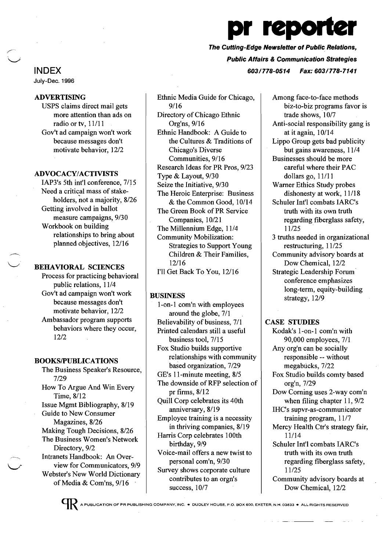# pr reporter The Cutting-Edge Newsletter ot Public Relations, Public Affairs & Communication Strategies

INDEX *603/778-0514 Fax: 603/778-7141* 

July-Dec. 1996

ADVERTISING

USPS claims direct mail gets more attention than ads on radio or tv, 11/11 Gov't ad campaign won't work because messages don't motivate behavior, 12/2

# ADVOCACY/ACTIVISTS

IAP3's 5th int'l conference, 7/15 Need a critical mass of stakeholders, not a majority, 8/26 Getting involved in ballot measure campaigns, 9/30 Workbook on building relationships to bring about planned objectives, 12/16

# BEHAVIORAL SCIENCES

Process for practicing behavioral public relations, 11/4 Gov't ad campaign won't work because messages don't motivate behavior, 12/2 Ambassador program supports behaviors where they occur, 12/2

#### BOOKSIPUBLICATIONS

The Business Speaker's Resource, 7/29 How To Argue And Win Every Time, 8/12 Issue Mgmt Bibliography, 8/19 Guide to New Consumer Magazines, 8/26 Making Tough Decisions, 8/26 The Business Women's Network Directory, 9/2 Intranets Handbook: An Overview for Communicators, 9/9 Webster's New World Dictionary of Media & Com'ns, 9/16 .

Ethnic Media Guide for Chicago, 9/16 Directory of Chicago Ethnic Org'ns, 9/16 Ethnic Handbook: A Guide to the Cultures & Traditions of Chicago's Diverse Communities, 9/16 Research Ideas for PR Pros, 9/23 Type & Layout, 9/30 Seize the Initiative, 9/30 The Heroic Enterprise: Business & the Common Good, 10/14 The Green Book of PR Service Companies, 10/21 The Millennium Edge, 11/4 Community Mobilization: Strategies to Support Young Children & Their Families, 12/16 I'll Get Back To You, 12/16

# BUSINESS

l-on-l com'n with employees around the globe, 7/1 Believability of business, 7/1 Printed calendars still a useful business tool, 7/15 Fox Studio builds supportive relationships with community based organization, 7/29 GE's l l-minute meeting, 8/5 The downside of RFP selection of pr firms, 8/12 Quill Corp celebrates its 40th anniversary, 8/19 Employee training is a necessity in thriving companies, 8/19 Harris Corp celebrates 100th birthday, 9/9 Voice-mail offers a new twist to personal com'n, 9/30 Survey shows corporate culture contributes to an orgn's success, 10/7

Among face-to-face methods biz-to-biz programs favor is trade shows, 10/7 Anti-social responsibility gang is at it again, 10/14 Lippo Group gets bad publicity but gains awareness, 11/4 Businesses should be more careful where their PAC dollars go, 11/11 Warner Ethics Study probes dishonesty at work, 11/18 Schuler Int'l combats IARC's truth with its own truth regarding fiberglass safety, 11/25 . 3 truths needed in organizational restructuring, 11/25 Community advisory boards at Dow Chemical, 12/2 Strategic Leadership Forum

conference emphasizes long-term, equity-building strategy, 12/9

CASE STUDIES Kodak's l-on-l com'n with 90,000 employees, 7/1 Any org'n can be socially responsible -- without megabucks, 7/22 Fox Studio builds comty based org'n, 7/29 Dow Corning uses 2-way com'n when filing chapter 11, 9/2 IHC's supvr-as-communicator training program, 11/7 Mercy Health Ctr's strategy fair, 11114 Schuler Int'l combats IARC's truth with its own truth regarding fiberglass safety, 11/25 Community advisory boards at Dow Chemical, 12/2

A PUBLICATION OF PR PUBLISHING COMPANY. INC.• DUDLEY HOUSE. P.O. BOX 600. EXETER, N.H. 03633 • ALL RIGHTS RESERVED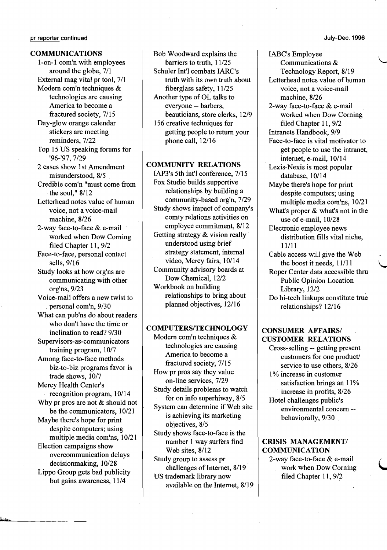#### COMMUNICATIONS

l-on-l com'n with employees around the globe, 7/1 External mag vital pr tool, 7/1 Modem com'n techniques & technologies are causing America to become a fractured society, 7/15 Day-glow orange calendar stickers are meeting reminders, 7/22 Top 15 US speaking forums for '96-'97, 7/29 2 cases show 1st Amendment misunderstood, 8/5 Credible com'n "must come from the soul," 8/12 Letterhead notes value of human voice, not a voice-mail machine, 8/26 2-way face-to-face & e-mail worked when Dow Coming filed Chapter 11, 9/2 Face-to-face, personal contact sells, 9/16 Study looks at how org'ns are communicating with other org'ns, 9/23 Voice-mail offers a new twist to . personal com'n, 9/30 What can pub'ns do about readers. who don't have the time or inclination to read? 9/30 Supervisors-as-communicators training program, I0/7 Among face-to-face methods biz-to-biz programs favor is trade shows, 10/7 Mercy Health Center's recognition program, 10/14 Why pr pros are not & should not be the communicators, 10/21 Maybe there's hope for print despite computers; using multiple media com'ns, 10/21 Election campaigns show overcommunication delays decisionmaking, 10/28 Lippo Group gets bad publicity but gains awareness, 11/4

Bob Woodward explains the barriers to truth, 11/25 Schuler Int'l combats IARC's truth with its own truth about fiberglass safety, 11/25 Another type of OL talks to everyone -- barbers, beauticians, store clerks, 12/9 156 creative techniques for getting people to return your phone call, 12/16

### COMMUNITY RELATIONS

IAP3's 5th int'l conference, 7/15 Fox Studio builds supportive relationships by building a community-based org'n, 7/29 Study shows impact of company's comty relations activities on employee commitment, 8/12 Getting strategy & vision really understood using brief strategy statement, internal video, Mercy fairs, 10/14 Community advisory boards at Dow Chemical, 12/2 Workbook on building relationships to bring about planned objectives, 12/16

# COMPUTERS/TECHNOLOGY

Modem com'n techniques & technologies are causing America to become a fractured society, 7/15 How pr pros say they value on-line services, 7/29 Study details problems to watch for on info superhiway, 8/5 System can determine if Web site is achieving its marketing objectives, 8/5 Study shows face-to-face is the number 1 way surfers find Web sites, 8/12 Study group to assess pr challenges of Internet, 8/19 US trademark library now

available on the Internet, 8/19

IABC's Employee Communications & Technology Report, 8/19 Letterhead notes value of human voice, not a voice-mail machine, 8/26 2-way face-to-face & e-mail worked when Dow Coming filed Chapter 11, 9/2 Intranets Handbook, 9/9 Face-to-face is vital motivator to get people to use the intranet, internet, e-mail, 10/14 Lexis-Nexis is most popular database, 10/14 Maybe there's hope for print despite computers; using multiple media com'ns, 10/21 What's proper & what's not in the use of e-mail, 10/28 Electronic employee news distribution fills vital niche, 11/11 Cable access will give the Web the boost it needs, 11/11 Roper Center data accessible thru Public Opinion Location Library, 12/2 Do hi-tech linkups constitute true relationships? 12/16

# CONSUMER AFFAIRS/ CUSTOMER RELATIONS

Cross-selling -- getting present customers for one product/ service to use others, 8/26 1% increase in customer satisfaction brings an 11% increase in profits, 8/26 Hotel challenges public's environmental concern behaviorally, 9/30

# CRISIS MANAGEMENT/ COMMUNICATION

2~way face-to-face & e-mail work when Dow Coming filed Chapter 11, 9/2

 $\bigcup$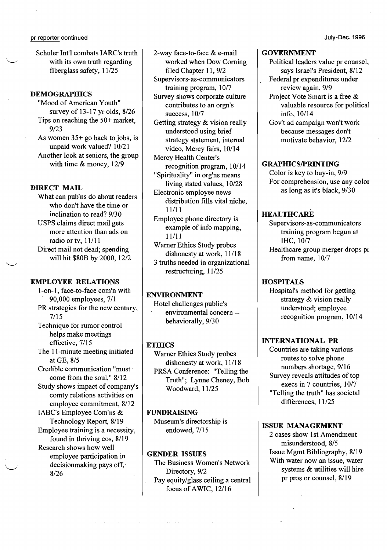Schuler Int'l combats IARC's truth with its own truth regarding fiberglass safety, 11/25

# DEMOGRAPHICS

"Mood of American Youth" survey of 13-17 yr olds, 8/26 Tips on reaching the 50+ market, 9/23 As women 35+ go back to jobs, is unpaid work valued? 10/21 Another look at seniors, the group

with time & money, 12/9

# DIRECT MAIL

 $\overline{\phantom{0}}$ 

What can pub'ns do about readers who don't have the time or inclination to read? 9/30 USPS claims direct mail gets more attention than ads on radio or tv, 11/11 Direct mail not dead; spending will hit \$80B by 2000, 12/2

# EMPLOYEE RELATIONS

l-on-l, face-to-face com'n with 90,000 employees, 7/1 PR strategies for the new century, 7/15 Technique for rumor control helps make meetings effective, 7/15 The II-minute meeting initiated at GE, 8/5 Credible communication "must come from the soul," 8/12 Study shows impact of company's comty relations activities on employee commitment, 8/12 IABC's Employee Com'ns & Technology Report, 8/19 Employee training is a necessity, found in thriving cos, 8/19 Research shows how well employee participation. in decisionmaking pays off, 8/26

2-way face-to-face & e-mail worked when Dow Corning filed Chapter 11, 9/2

Supervisors-as-communicators training program, 10/7 Survey shows corporate culture

contributes to an orgn's success, 10/7

Getting strategy & vision really understood using brief strategy statement, internal video, Mercy fairs, 10/14

Mercy Health Center's recognition program, 10/14

"Spirituality" in org'ns means living stated values, 10/28 Electronic employee news

distribution fills vital niche, 11/11

Employee phone directory is example of info mapping, 11/11

Warner Ethics Study probes dishonesty at work, 11/18 3 truths needed in organizational

restructuring, 11/25

# ENVIRONMENT

Hotel challenges public's environmental concern behaviorally, 9/30

# **ETHICS**

Warner Ethics Study probes dishonesty at work, 11/18 PRSA Conference: "Telling the Truth"; Lynne Cheney, Bob Woodward, 11/25

# .FUNDRAISING

Museum's directorship is endowed, 7/15

#### GENDER ISSUES

The Business Women's Network Directory, 9/2 Pay equity/glass ceiling a central focus of AWIC, 12/16

#### GOVERNMENT

Political leaders value pr counsel, says Israel's President, 8/12

Federal pr expenditures under review again, 9/9

Project Vote Smart is a free & valuable resource for political info, 10/14

Gov't ad campaign won't work because messages don't motivate behavior, 12/2

### **GRAPHICS/PRINTING**

Color is key to buy-in, 9/9 For comprehension, use any color as long as it's black, 9/30

# HEALTHCARE

Supervisors-as-communicators training program begun at IHC, 10/7 Healthcare group merger drops pr from name, 10/7

# **HOSPITALS**

Hospital's method for getting strategy & vision really understood; employee recognition program, 10/14

# INTERNATIONAL PR

Countries are taking various routes to solve phone numbers shortage, 9/16 Survey reveals attitudes of top execs in 7 countries, 10/7 "Telling the truth" has societal differences, 11/25

#### ISSUE MANAGEMENT

2 cases show Ist Amendment misunderstood, 8/5 Issue Mgmt Bibliography, 8/19 With water now an issue, water systems & utilities will hire pr pros or counsel, 8/19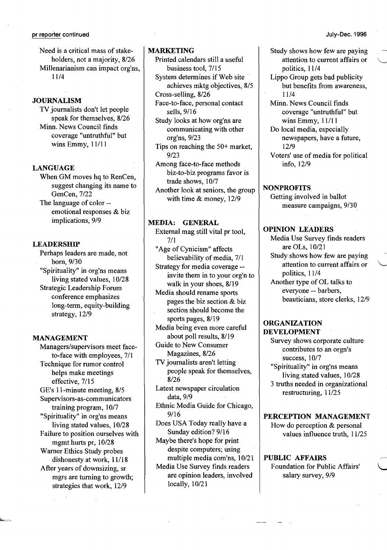Need is a critical mass of stakeholders, not a majority, 8/26 Millenarianism can impact org'ns, 11/4

# **JOURNALISM**

TV journalists don't let people speak for themselves, 8/26 Minn. News Council finds coverage "untruthful" but wins Emmy, 11/11

# LANGUAGE

When GM moves hq to RenCen, suggest changing its name to GenCen, 7/22

The language of color emotional responses & biz implications, 9/9

### **LEADERSHIP**

Perhaps leaders are made, not born, 9/30 "Spirituality" in org'ns means living stated values, 10/28 Strategic Leadership Forum conference emphasizes long-term, equity-building strategy, 12/9

### MANAGEMENT

Managers/supervisors meet faceto-face with employees, 7/1 Technique for rumor control helps make meetings effective, 7/15 GE's l l-minute meeting, 8/5 Supervisors-as-communicators training program, 10/7 "Spirituality" in org'ns means living stated values, 10/28 Failure to position ourselves with mgmt hurts pr, 10/28 Warner Ethics Study probes dishonesty at work, 11/18 After years of downsizing, sr mgrs are turning to growth; strategies that work, 12/9

# MARKETING

- Printed calendars still a useful business tool, 7/15
- System determines if Web site· achieves mktg objectives, 8/5
- Cross-selling, 8/26
- Face-to-face, personal contact sells, 9/16
- Study looks at how org'ns are communicating with other org'ns, 9/23
- Tips on reaching the 50+ market, 9/23
- Among face-to-face methods biz-to-biz programs favor is trade shows, 10/7

Another look at seniors, the group with time & money, 12/9

# MEDIA: GENERAL

External mag still vital pr tool, 7/1 "Age of Cynicism" affects believability of media, 7/1 Strategy for media coverage -

invite them in to your org'n to walk in your shoes, 8/19 Media should rename sports

pages the biz section & biz section should become the sports pages, 8/19

Media being even more careful about poll results, 8/19

Guide to New Consumer Magazines, 8/26

TV journalists aren't letting people speak for themselves, 8/26

Latest newspaper circulation data, 9/9

Ethnic Media Guide for Chicago, 9/16

Does USA Today really have a Sunday edition? 9/16

Maybe there's hope for print despite computers; using multiple media com'ns, 10/21

Media Use Survey finds readers are opinion leaders, involved locally, 10/21

Study shows how few are paying attention to current affairs or politics, 11/4

Lippo Group gets bad publicity but benefits from awareness, 11/4

Minn. News Council finds coverage "untruthful" but wins Emmy, 11/11

Do local media, especially newspapers, have a future, 12/9

Voters' use of media for political info, 12/9

#### NONPROFITS

Getting involved in ballot measure campaigns, 9/30

#### OPINION LEADERS

Media Use Survey finds readers are OLs, 10/21 Study shows how few are paying attention to current affairs or politics, 11/4 Another type of OL talks to everyone -- barbers, beauticians, store clerks, 12/9

### ORGANIZATION DEVELOPMENT

Survey shows corporate culture contributes to an orgn's success, 10/7 "Spirituality" in org'ns means living stated values, 10/28 3 truths needed in organizational restructuring, 11/25

# PERCEPTION MANAGEMENT

How do perception & personal values influence truth, 11/25

PUBLIC AFFAIRS Foundation for Public Affairs' '

salary survey, 9/9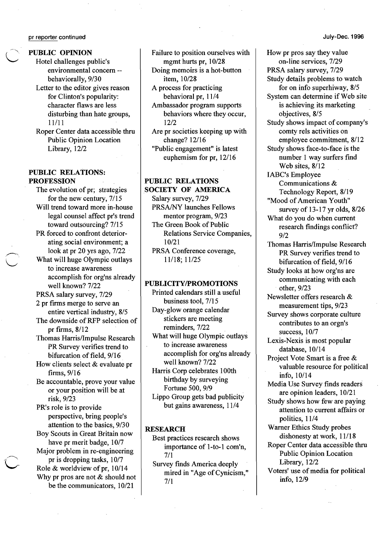PUBLIC OPINION

Hotel challenges public's environmental concern behaviorally, 9/30

Letter to the editor gives reason for Clinton's popularity: character flaws are less disturbing than hate groups, 11/11

Roper Center data accessible thru Public Opinion Location Library, 12/2

### PUBLIC RELATIONS: PROFESSION

The evolution of pr; strategies for the new century, 7/15 Will trend toward more in-house legal counsel affect pr's trend toward outsourcing? 7/15 PR forced to confront deteriorating social environment; a look at pr 20 yrs ago, 7/22 What will huge Olympic outlays to increase awareness

accomplish for org'ns already well known? 7/22

PRSA salary survey, 7/29

2 pr firms merge to serve an entire vertical industry, 8/5

The downside of RFP selection of pr firms, 8/12 Thomas Harris/Impulse Research

PR Survey verifies trend to bifurcation of field, 9/16

How clients select & evaluate pr firms, 9/16

Be accountable, prove your value or your position will be at risk; 9/23

PR's role is to provide perspective, bring people's attention to the basics, 9/30 Boy Scouts in Great Britain now have pr merit badge, 10/7 Major problem in re-engineering pr is dropping tasks, 10/7 Role & worldview of pr,  $10/14$ Why pr pros are not & should not be the communicators, 10/21

Failure to position ourselves with mgmt hurts pr, 10/28

Doing memoirs is a hot-button item, 10/28

A process for practicing behavioral pr, 11/4

Ambassador program supports behaviors where they occur, 12/2

Are pr societies keeping up with change? 12/16

"Public engagement" is latest euphemism for pr, 12/16

# PUBLIC RELATIONS

SOCIETY OF AMERICA Salary survey, 7/29 PRSA/NY launches Fellows mentor program, 9/23 The Green Book of Public Relations Service Companies, 10/21 PRSA Conference coverage, 11/18; 11/25

# PUBLICITY/PROMOTIONS

Printed calendars still a useful business tool, 7/15 Day-glow orange calendar stickers are meeting reminders, 7/22 What will huge Olympic outlays to increase awareness accomplish for org'ns already well known? 7/22 Harris Corp celebrates 100th

birthday by surveying Fortune 500, 9/9

Lippo Group gets bad publicity but gains awareness, 11/4

#### **RESEARCH**

Best practices research shows importance of l-to-I com'n, 7/1

Survey finds America deeply mired in "Age of Cynicism," 7/1

How pr pros say they value on-line services, 7/29 PRSA salary survey, 7/29 Study details problems to watch for on info superhiway, 8/5 System can determine if Web site is achieving its marketing objectives, 8/5 Study shows impact of company's comty rels activities on employee commitment, 8/12 Study shows face-to-face is the number 1 way surfers fmd Web sites, 8/12 lABC's Employee Communications & Technology Report, 8/19 "Mood of American Youth" survey of 13-17 yr olds, 8/26 What do you do when current research findings conflict? 9/2 Thomas Harris/Impulse Research PR Survey verifies trend to bifurcation of field,  $9/16$ Study looks at how org'ns are communicating with each other, 9/23 Newsletter offers research & measurement tips, 9/23 Survey shows corporate culture contributes to an orgn's success, 10/7 Lexis-Nexis is most popular database, 10/14 Project Vote Smart is a free & valuable resource for political info, 10/14 Media Use Survey finds readers are opinion leaders, 10/21 Study shows how few are paying attention to current affairs or politics, 11/4 Warner Ethics Study probes dishonesty at work, 11/18 Roper Center data accessible thru Public Opinion Location Library, 12/2 Voters' use of media for political info, 12/9